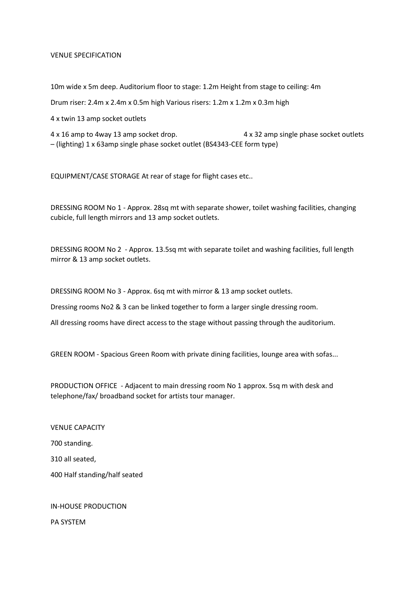#### VENUE SPECIFICATION

10m wide x 5m deep. Auditorium floor to stage: 1.2m Height from stage to ceiling: 4m

Drum riser: 2.4m x 2.4m x 0.5m high Various risers: 1.2m x 1.2m x 0.3m high

4 x twin 13 amp socket outlets

4 x 16 amp to 4way 13 amp socket drop. 4 x 32 amp single phase socket outlets – (lighting) 1 x 63amp single phase socket outlet (BS4343-CEE form type)

EQUIPMENT/CASE STORAGE At rear of stage for flight cases etc..

DRESSING ROOM No 1 - Approx. 28sq mt with separate shower, toilet washing facilities, changing cubicle, full length mirrors and 13 amp socket outlets.

DRESSING ROOM No 2 - Approx. 13.5sq mt with separate toilet and washing facilities, full length mirror & 13 amp socket outlets.

DRESSING ROOM No 3 - Approx. 6sq mt with mirror & 13 amp socket outlets.

Dressing rooms No2 & 3 can be linked together to form a larger single dressing room.

All dressing rooms have direct access to the stage without passing through the auditorium.

GREEN ROOM - Spacious Green Room with private dining facilities, lounge area with sofas...

PRODUCTION OFFICE - Adjacent to main dressing room No 1 approx. 5sq m with desk and telephone/fax/ broadband socket for artists tour manager.

VENUE CAPACITY

700 standing.

310 all seated,

400 Half standing/half seated

IN-HOUSE PRODUCTION

PA SYSTEM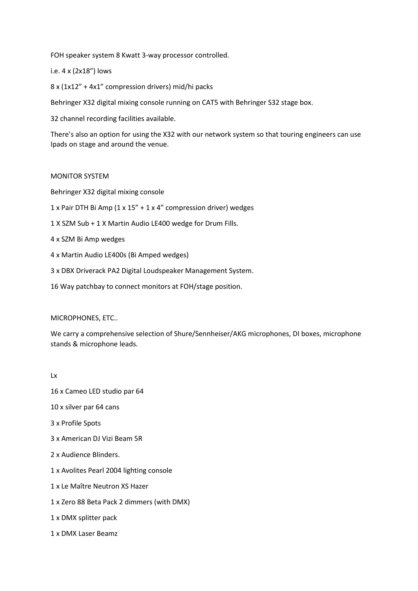FOH speaker system 8 Kwatt 3-way processor controlled.

# i.e. 4 x (2x18") lows

8 x (1x12" + 4x1" compression drivers) mid/hi packs

Behringer X32 digital mixing console running on CAT5 with Behringer S32 stage box.

32 channel recording facilities available.

There's also an option for using the X32 with our network system so that touring engineers can use Ipads on stage and around the venue.

## MONITOR SYSTEM

Behringer X32 digital mixing console

- 1 x Pair DTH Bi Amp (1 x 15" + 1 x 4" compression driver) wedges
- 1 X SZM Sub + 1 X Martin Audio LE400 wedge for Drum Fills.
- 4 x SZM Bi Amp wedges
- 4 x Martin Audio LE400s (Bi Amped wedges)
- 3 x DBX Driverack PA2 Digital Loudspeaker Management System.
- 16 Way patchbay to connect monitors at FOH/stage position.

## MICROPHONES, ETC..

We carry a comprehensive selection of Shure/Sennheiser/AKG microphones, DI boxes, microphone stands & microphone leads.

#### Lx

16 x Cameo LED studio par 64

- 10 x silver par 64 cans
- 3 x Profile Spots
- 3 x American DJ Vizi Beam 5R
- 2 x Audience Blinders.
- 1 x Avolites Pearl 2004 lighting console
- 1 x Le Maître Neutron XS Hazer
- 1 x Zero 88 Beta Pack 2 dimmers (with DMX)
- 1 x DMX splitter pack
- 1 x DMX Laser Beamz